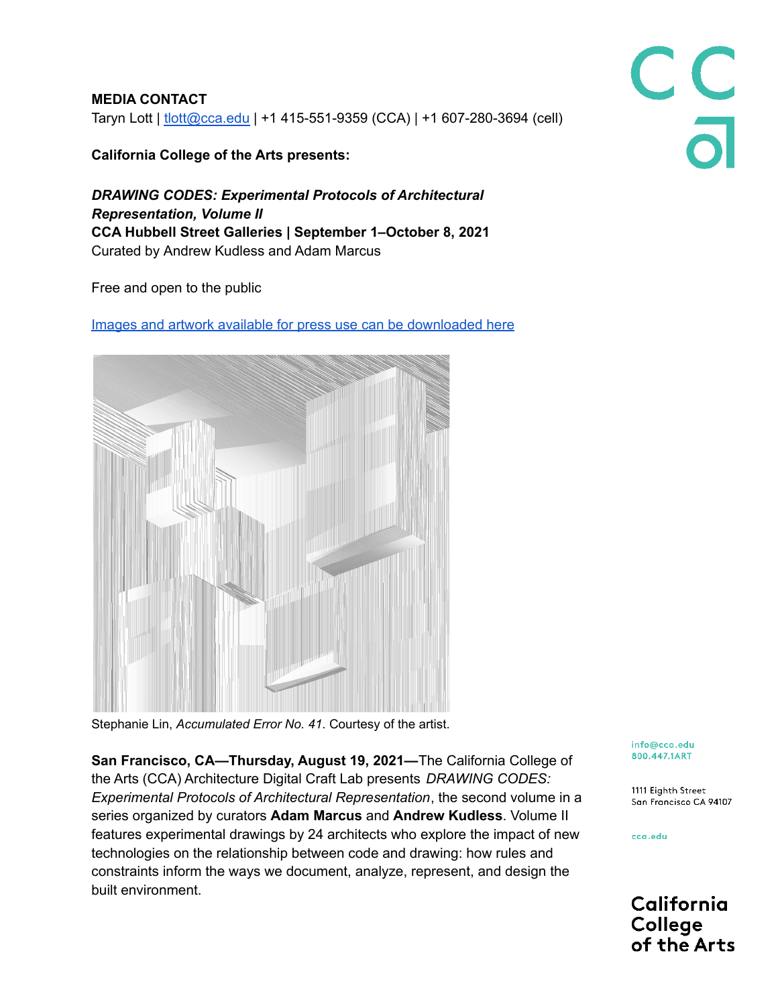**MEDIA CONTACT** Taryn Lott | [tlott@cca.edu](mailto:tlott@cca.edu) | +1 415-551-9359 (CCA) | +1 607-280-3694 (cell)

**California College of the Arts presents:**

*DRAWING CODES: Experimental Protocols of Architectural Representation, Volume II* **CCA Hubbell Street Galleries | September 1–October 8, 2021** Curated by Andrew Kudless and Adam Marcus

Free and open to the public

Images and artwork available for press use can be [downloaded](https://drive.google.com/drive/folders/1-jjYI0Yy80Jhrh0Z1c6UtPKKVsg5lqs1?usp=sharing) here

Stephanie Lin, *Accumulated Error No. 41*. Courtesy of the artist.

**San Francisco, CA—Thursday, August 19, 2021—**The California College of the Arts (CCA) Architecture Digital Craft Lab presents *DRAWING CODES: Experimental Protocols of Architectural Representation*, the second volume in a series organized by curators **Adam Marcus** and **Andrew Kudless**. Volume II features experimental drawings by 24 architects who explore the impact of new technologies on the relationship between code and drawing: how rules and constraints inform the ways we document, analyze, represent, and design the built environment.

info@cca.edu 800.447.1ART

1111 Eighth Street San Francisco CA 94107

cca.edu

California College of the Arts

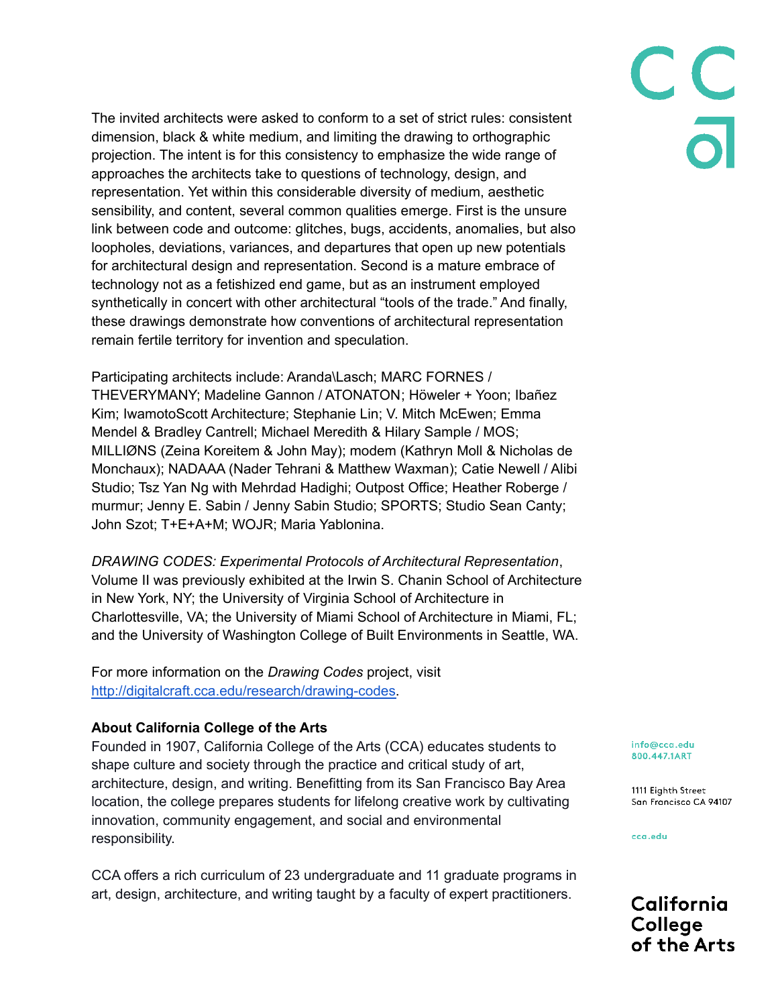The invited architects were asked to conform to a set of strict rules: consistent dimension, black & white medium, and limiting the drawing to orthographic projection. The intent is for this consistency to emphasize the wide range of approaches the architects take to questions of technology, design, and representation. Yet within this considerable diversity of medium, aesthetic sensibility, and content, several common qualities emerge. First is the unsure link between code and outcome: glitches, bugs, accidents, anomalies, but also loopholes, deviations, variances, and departures that open up new potentials for architectural design and representation. Second is a mature embrace of technology not as a fetishized end game, but as an instrument employed synthetically in concert with other architectural "tools of the trade." And finally, these drawings demonstrate how conventions of architectural representation remain fertile territory for invention and speculation.

Participating architects include: Aranda\Lasch; MARC FORNES / THEVERYMANY; Madeline Gannon / ATONATON; Höweler + Yoon; Ibañez Kim; IwamotoScott Architecture; Stephanie Lin; V. Mitch McEwen; Emma Mendel & Bradley Cantrell; Michael Meredith & Hilary Sample / MOS; MILLIØNS (Zeina Koreitem & John May); modem (Kathryn Moll & Nicholas de Monchaux); NADAAA (Nader Tehrani & Matthew Waxman); Catie Newell / Alibi Studio; Tsz Yan Ng with Mehrdad Hadighi; Outpost Office; Heather Roberge / murmur; Jenny E. Sabin / Jenny Sabin Studio; SPORTS; Studio Sean Canty; John Szot; T+E+A+M; WOJR; Maria Yablonina.

*DRAWING CODES: Experimental Protocols of Architectural Representation*, Volume II was previously exhibited at the Irwin S. Chanin School of Architecture in New York, NY; the University of Virginia School of Architecture in Charlottesville, VA; the University of Miami School of Architecture in Miami, FL; and the University of Washington College of Built Environments in Seattle, WA.

For more information on the *Drawing Codes* project, visit [http://digitalcraft.cca.edu/research/drawing-codes.](http://digitalcraft.cca.edu/research/drawing-codes)

## **About California College of the Arts**

Founded in 1907, California College of the Arts (CCA) educates students to shape culture and society through the practice and critical study of art, architecture, design, and writing. Benefitting from its San Francisco Bay Area location, the college prepares students for lifelong creative work by cultivating innovation, community engagement, and social and environmental responsibility.

CCA offers a rich curriculum of 23 undergraduate and 11 graduate programs in art, design, architecture, and writing taught by a faculty of expert practitioners.

info@cca.edu 800.447.1ART

1111 Eighth Street San Francisco CA 94107

cca.edu

California College of the Arts